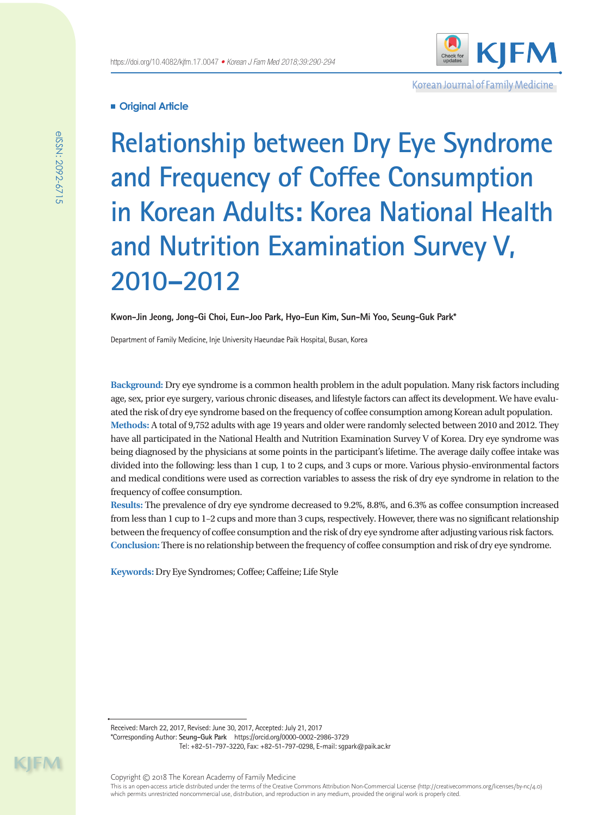

Korean Journal of Family Medicine

# **Original Article**

**Relationship between Dry Eye Syndrome and Frequency of Coffee Consumption in Korean Adults: Korea National Health and Nutrition Examination Survey V, 2010–2012**

**Kwon-Jin Jeong, Jong-Gi Choi, Eun-Joo Park, Hyo-Eun Kim, Sun-Mi Yoo, Seung-Guk Park\***

Department of Family Medicine, Inje University Haeundae Paik Hospital, Busan, Korea

**Background:** Dry eye syndrome is a common health problem in the adult population. Many risk factors including age, sex, prior eye surgery, various chronic diseases, and lifestyle factors can affect its development. We have evaluated the risk of dry eye syndrome based on the frequency of coffee consumption among Korean adult population. **Methods:** A total of 9,752 adults with age 19 years and older were randomly selected between 2010 and 2012. They have all participated in the National Health and Nutrition Examination Survey V of Korea. Dry eye syndrome was being diagnosed by the physicians at some points in the participant's lifetime. The average daily coffee intake was divided into the following: less than 1 cup, 1 to 2 cups, and 3 cups or more. Various physio-environmental factors and medical conditions were used as correction variables to assess the risk of dry eye syndrome in relation to the frequency of coffee consumption.

**Results:** The prevalence of dry eye syndrome decreased to 9.2%, 8.8%, and 6.3% as coffee consumption increased from less than 1 cup to 1–2 cups and more than 3 cups, respectively. However, there was no significant relationship between the frequency of coffee consumption and the risk of dry eye syndrome after adjusting various risk factors. **Conclusion:** There is no relationship between the frequency of coffee consumption and risk of dry eye syndrome.

**Keywords:** Dry Eye Syndromes; Coffee; Caffeine; Life Style

Received: March 22, 2017, Revised: June 30, 2017, Accepted: July 21, 2017 \*Corresponding Author: **Seung-Guk Park** https://orcid.org/0000-0002-2986-3729 Tel: +82-51-797-3220, Fax: +82-51-797-0298, E-mail: sgpark@paik.ac.kr

eISSN: 2092-6715

elSSN: 2092-6715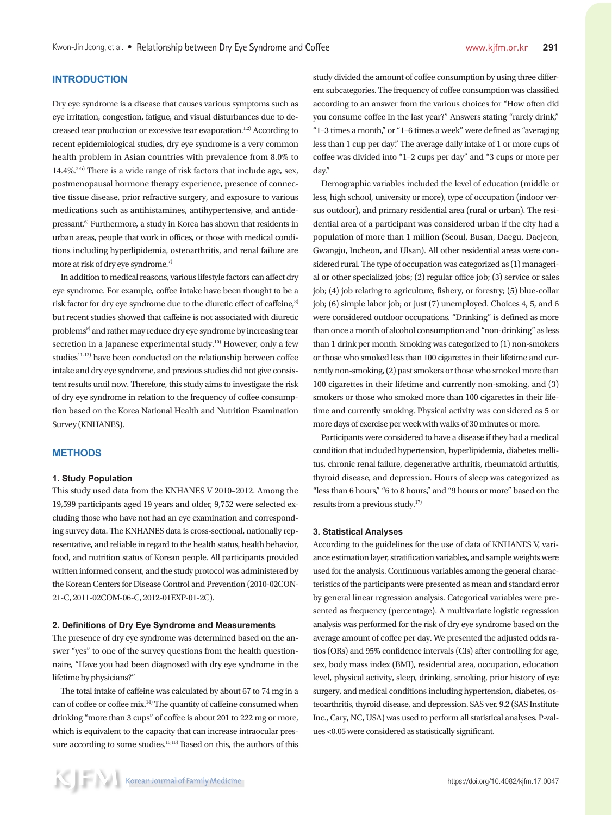# **INTRODUCTION**

Dry eye syndrome is a disease that causes various symptoms such as eye irritation, congestion, fatigue, and visual disturbances due to decreased tear production or excessive tear evaporation.<sup>1,2)</sup> According to recent epidemiological studies, dry eye syndrome is a very common health problem in Asian countries with prevalence from 8.0% to  $14.4\%$ <sup>3-5)</sup> There is a wide range of risk factors that include age, sex, postmenopausal hormone therapy experience, presence of connective tissue disease, prior refractive surgery, and exposure to various medications such as antihistamines, antihypertensive, and antidepressant.<sup>6)</sup> Furthermore, a study in Korea has shown that residents in urban areas, people that work in offices, or those with medical conditions including hyperlipidemia, osteoarthritis, and renal failure are more at risk of dry eye syndrome.<sup>7)</sup>

In addition to medical reasons, various lifestyle factors can affect dry eye syndrome. For example, coffee intake have been thought to be a risk factor for dry eye syndrome due to the diuretic effect of caffeine,<sup>8)</sup> but recent studies showed that caffeine is not associated with diuretic problems<sup>9)</sup> and rather may reduce dry eye syndrome by increasing tear secretion in a Japanese experimental study.<sup>10)</sup> However, only a few studies<sup>11-13)</sup> have been conducted on the relationship between coffee intake and dry eye syndrome, and previous studies did not give consistent results until now. Therefore, this study aims to investigate the risk of dry eye syndrome in relation to the frequency of coffee consumption based on the Korea National Health and Nutrition Examination Survey (KNHANES).

#### **METHODS**

#### **1. Study Population**

This study used data from the KNHANES V 2010–2012. Among the 19,599 participants aged 19 years and older, 9,752 were selected excluding those who have not had an eye examination and corresponding survey data. The KNHANES data is cross-sectional, nationally representative, and reliable in regard to the health status, health behavior, food, and nutrition status of Korean people. All participants provided written informed consent, and the study protocol was administered by the Korean Centers for Disease Control and Prevention (2010-02CON-21-C, 2011-02COM-06-C, 2012-01EXP-01-2C).

#### **2. Definitions of Dry Eye Syndrome and Measurements**

The presence of dry eye syndrome was determined based on the answer "yes" to one of the survey questions from the health questionnaire, "Have you had been diagnosed with dry eye syndrome in the lifetime by physicians?"

The total intake of caffeine was calculated by about 67 to 74 mg in a can of coffee or coffee mix.14) The quantity of caffeine consumed when drinking "more than 3 cups" of coffee is about 201 to 222 mg or more, which is equivalent to the capacity that can increase intraocular pressure according to some studies.<sup>15,16)</sup> Based on this, the authors of this study divided the amount of coffee consumption by using three different subcategories. The frequency of coffee consumption was classified according to an answer from the various choices for "How often did you consume coffee in the last year?" Answers stating "rarely drink," "1–3 times a month," or "1–6 times a week" were defined as "averaging less than 1 cup per day." The average daily intake of 1 or more cups of coffee was divided into "1–2 cups per day" and "3 cups or more per day."

Demographic variables included the level of education (middle or less, high school, university or more), type of occupation (indoor versus outdoor), and primary residential area (rural or urban). The residential area of a participant was considered urban if the city had a population of more than 1 million (Seoul, Busan, Daegu, Daejeon, Gwangju, Incheon, and Ulsan). All other residential areas were considered rural. The type of occupation was categorized as (1) managerial or other specialized jobs; (2) regular office job; (3) service or sales job; (4) job relating to agriculture, fishery, or forestry; (5) blue-collar job; (6) simple labor job; or just (7) unemployed. Choices 4, 5, and 6 were considered outdoor occupations. "Drinking" is defined as more than once a month of alcohol consumption and "non-drinking" as less than 1 drink per month. Smoking was categorized to (1) non-smokers or those who smoked less than 100 cigarettes in their lifetime and currently non-smoking, (2) past smokers or those who smoked more than 100 cigarettes in their lifetime and currently non-smoking, and (3) smokers or those who smoked more than 100 cigarettes in their lifetime and currently smoking. Physical activity was considered as 5 or more days of exercise per week with walks of 30 minutes or more.

Participants were considered to have a disease if they had a medical condition that included hypertension, hyperlipidemia, diabetes mellitus, chronic renal failure, degenerative arthritis, rheumatoid arthritis, thyroid disease, and depression. Hours of sleep was categorized as "less than 6 hours," "6 to 8 hours," and "9 hours or more" based on the results from a previous study.17)

#### **3. Statistical Analyses**

According to the guidelines for the use of data of KNHANES V, variance estimation layer, stratification variables, and sample weights were used for the analysis. Continuous variables among the general characteristics of the participants were presented as mean and standard error by general linear regression analysis. Categorical variables were presented as frequency (percentage). A multivariate logistic regression analysis was performed for the risk of dry eye syndrome based on the average amount of coffee per day. We presented the adjusted odds ratios (ORs) and 95% confidence intervals (CIs) after controlling for age, sex, body mass index (BMI), residential area, occupation, education level, physical activity, sleep, drinking, smoking, prior history of eye surgery, and medical conditions including hypertension, diabetes, osteoarthritis, thyroid disease, and depression. SAS ver. 9.2 (SAS Institute Inc., Cary, NC, USA) was used to perform all statistical analyses. P-values <0.05 were considered as statistically significant.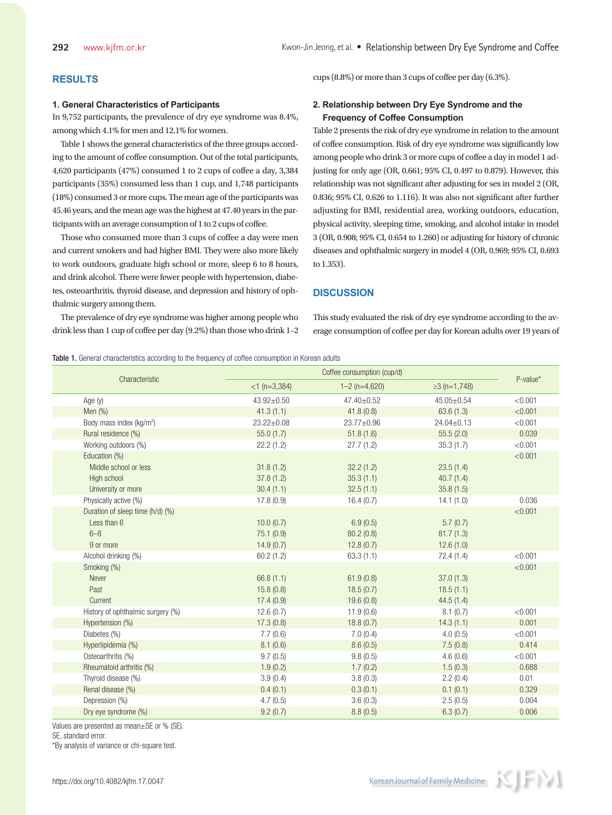# **RESULTS**

## **1. General Characteristics of Participants**

In 9,752 participants, the prevalence of dry eye syndrome was 8.4%, among which 4.1% for men and 12.1% for women.

Table 1 shows the general characteristics of the three groups according to the amount of coffee consumption. Out of the total participants, 4,620 participants (47%) consumed 1 to 2 cups of coffee a day, 3,384 participants (35%) consumed less than 1 cup, and 1,748 participants (18%) consumed 3 or more cups. The mean age of the participants was 45.46 years, and the mean age was the highest at 47.40 years in the participants with an average consumption of 1 to 2 cups of coffee.

Those who consumed more than 3 cups of coffee a day were men and current smokers and had higher BMI. They were also more likely to work outdoors, graduate high school or more, sleep 6 to 8 hours, and drink alcohol. There were fewer people with hypertension, diabetes, osteoarthritis, thyroid disease, and depression and history of ophthalmic surgery among them.

The prevalence of dry eye syndrome was higher among people who drink less than 1 cup of coffee per day (9.2%) than those who drink 1–2 cups (8.8%) or more than 3 cups of coffee per day (6.3%).

## **2. Relationship between Dry Eye Syndrome and the Frequency of Coffee Consumption**

Table 2 presents the risk of dry eye syndrome in relation to the amount of coffee consumption. Risk of dry eye syndrome was significantly low among people who drink 3 or more cups of coffee a day in model 1 adjusting for only age (OR, 0.661; 95% CI, 0.497 to 0.879). However, this relationship was not significant after adjusting for sex in model 2 (OR, 0.836; 95% CI, 0.626 to 1.116). It was also not significant after further adjusting for BMI, residential area, working outdoors, education, physical activity, sleeping time, smoking, and alcohol intake in model 3 (OR, 0.908; 95% CI, 0.654 to 1.260) or adjusting for history of chronic diseases and ophthalmic surgery in model 4 (OR, 0.969; 95% CI, 0.693 to 1.353).

#### **DISCUSSION**

This study evaluated the risk of dry eye syndrome according to the average consumption of coffee per day for Korean adults over 19 years of

Table 1. General characteristics according to the frequency of coffee consumption in Korean adults

| Characteristic                       | Coffee consumption (cup/d) |                   |                    |          |
|--------------------------------------|----------------------------|-------------------|--------------------|----------|
|                                      | $<$ 1 (n=3,384)            | $1 - 2$ (n=4,620) | $\geq$ 3 (n=1,748) | P-value* |
| Age $(y)$                            | 43.92±0.50                 | 47.40±0.52        | 45.05±0.54         | < 0.001  |
| Men $(\%)$                           | 41.3(1.1)                  | 41.8(0.8)         | 63.6(1.3)          | < 0.001  |
| Body mass index (kg/m <sup>2</sup> ) | $23.22 \pm 0.08$           | 23.77±0.96        | $24.04 \pm 0.13$   | < 0.001  |
| Rural residence (%)                  | 55.0(1.7)                  | 51.8(1.6)         | 55.5(2.0)          | 0.039    |
| Working outdoors (%)                 | 22.2(1.2)                  | 27.7(1.2)         | 35.3(1.7)          | < 0.001  |
| Education (%)                        |                            |                   |                    | < 0.001  |
| Middle school or less                | 31.8(1.2)                  | 32.2(1.2)         | 23.5(1.4)          |          |
| High school                          | 37.8(1.2)                  | 35.3(1.1)         | 40.7(1.4)          |          |
| University or more                   | 30.4(1.1)                  | 32.5(1.1)         | 35.8(1.5)          |          |
| Physically active (%)                | 17.8(0.9)                  | 16.4(0.7)         | 14.1(1.0)          | 0.036    |
| Duration of sleep time (h/d) (%)     |                            |                   |                    | < 0.001  |
| Less than 6                          | 10.0(0.7)                  | 6.9(0.5)          | 5.7(0.7)           |          |
| $6 - 8$                              | 75.1 (0.9)                 | 80.2(0.8)         | 81.7(1.3)          |          |
| 9 or more                            | 14.9(0.7)                  | 12.8(0.7)         | 12.6(1.0)          |          |
| Alcohol drinking (%)                 | 60.2(1.2)                  | 63.3(1.1)         | 72.4(1.4)          | < 0.001  |
| Smoking (%)                          |                            |                   |                    | < 0.001  |
| Never                                | 66.8(1.1)                  | 61.9(0.8)         | 37.0(1.3)          |          |
| Past                                 | 15.8(0.8)                  | 18.5(0.7)         | 18.5(1.1)          |          |
| Current                              | 17.4(0.9)                  | 19.6(0.8)         | 44.5(1.4)          |          |
| History of ophthalmic surgery (%)    | 12.6(0.7)                  | 11.9(0.6)         | 8.1(0.7)           | < 0.001  |
| Hypertension (%)                     | 17.3(0.8)                  | 18.8(0.7)         | 14.3(1.1)          | 0.001    |
| Diabetes (%)                         | 7.7(0.6)                   | 7.0(0.4)          | 4.0(0.5)           | < 0.001  |
| Hyperlipidemia (%)                   | 8.1(0.6)                   | 8.6(0.5)          | 7.5(0.8)           | 0.414    |
| Osteoarthritis (%)                   | 9.7(0.5)                   | 9.8(0.5)          | 4.6(0.6)           | < 0.001  |
| Rheumatoid arthritis (%)             | 1.9(0.2)                   | 1.7(0.2)          | 1.5(0.3)           | 0.688    |
| Thyroid disease (%)                  | 3.9(0.4)                   | 3.8(0.3)          | 2.2(0.4)           | 0.01     |
| Renal disease (%)                    | 0.4(0.1)                   | 0.3(0.1)          | 0.1(0.1)           | 0.329    |
| Depression (%)                       | 4.7(0.5)                   | 3.6(0.3)          | 2.5(0.5)           | 0.004    |
| Dry eye syndrome (%)                 | 9.2(0.7)                   | 8.8(0.5)          | 6.3(0.7)           | 0.006    |

Values are presented as mean±SE or % (SE).

SE, standard error.

\*By analysis of variance or chi-square test.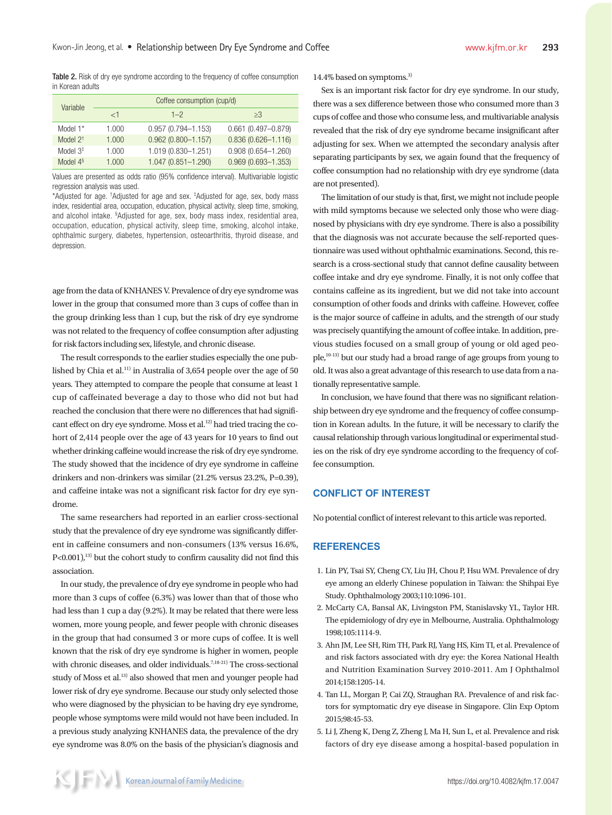Table 2. Risk of dry eye syndrome according to the frequency of coffee consumption in Korean adults

| Variable             | Coffee consumption (cup/d) |                        |                        |  |
|----------------------|----------------------------|------------------------|------------------------|--|
|                      | $\lt$ 1                    | $1 - 2$                | $\geq$ 3               |  |
| Model 1 <sup>*</sup> | 1.000                      | $0.957(0.794 - 1.153)$ | $0.661(0.497 - 0.879)$ |  |
| Model $2^+$          | 1.000                      | $0.962(0.800 - 1.157)$ | $0.836(0.626 - 1.116)$ |  |
| Model $3‡$           | 1.000                      | 1.019 (0.830-1.251)    | $0.908(0.654 - 1.260)$ |  |
| Model $4§$           | 1.000                      | $1.047(0.851 - 1.290)$ | $0.969(0.693 - 1.353)$ |  |

Values are presented as odds ratio (95% confidence interval). Multivariable logistic regression analysis was used.

\*Adjusted for age. <sup>†</sup>Adjusted for age and sex. <sup>‡</sup>Adjusted for age, sex, body mass index, residential area, occupation, education, physical activity, sleep time, smoking, and alcohol intake. § Adjusted for age, sex, body mass index, residential area, occupation, education, physical activity, sleep time, smoking, alcohol intake, ophthalmic surgery, diabetes, hypertension, osteoarthritis, thyroid disease, and depression.

age from the data of KNHANES V. Prevalence of dry eye syndrome was lower in the group that consumed more than 3 cups of coffee than in the group drinking less than 1 cup, but the risk of dry eye syndrome was not related to the frequency of coffee consumption after adjusting for risk factors including sex, lifestyle, and chronic disease.

The result corresponds to the earlier studies especially the one published by Chia et al.<sup>11)</sup> in Australia of 3,654 people over the age of 50 years. They attempted to compare the people that consume at least 1 cup of caffeinated beverage a day to those who did not but had reached the conclusion that there were no differences that had significant effect on dry eye syndrome. Moss et al.<sup>12)</sup> had tried tracing the cohort of 2,414 people over the age of 43 years for 10 years to find out whether drinking caffeine would increase the risk of dry eye syndrome. The study showed that the incidence of dry eye syndrome in caffeine drinkers and non-drinkers was similar (21.2% versus 23.2%, P=0.39), and caffeine intake was not a significant risk factor for dry eye syndrome.

The same researchers had reported in an earlier cross-sectional study that the prevalence of dry eye syndrome was significantly different in caffeine consumers and non-consumers (13% versus 16.6%,  $P<0.001$ ,<sup>13)</sup> but the cohort study to confirm causality did not find this association.

In our study, the prevalence of dry eye syndrome in people who had more than 3 cups of coffee (6.3%) was lower than that of those who had less than 1 cup a day (9.2%). It may be related that there were less women, more young people, and fewer people with chronic diseases in the group that had consumed 3 or more cups of coffee. It is well known that the risk of dry eye syndrome is higher in women, people with chronic diseases, and older individuals.<sup>7,18-21)</sup> The cross-sectional study of Moss et al.<sup>13)</sup> also showed that men and younger people had lower risk of dry eye syndrome. Because our study only selected those who were diagnosed by the physician to be having dry eye syndrome, people whose symptoms were mild would not have been included. In a previous study analyzing KNHANES data, the prevalence of the dry eye syndrome was 8.0% on the basis of the physician's diagnosis and 14.4% based on symptoms.<sup>3)</sup>

Sex is an important risk factor for dry eye syndrome. In our study, there was a sex difference between those who consumed more than 3 cups of coffee and those who consume less, and multivariable analysis revealed that the risk of dry eye syndrome became insignificant after adjusting for sex. When we attempted the secondary analysis after separating participants by sex, we again found that the frequency of coffee consumption had no relationship with dry eye syndrome (data are not presented).

The limitation of our study is that, first, we might not include people with mild symptoms because we selected only those who were diagnosed by physicians with dry eye syndrome. There is also a possibility that the diagnosis was not accurate because the self-reported questionnaire was used without ophthalmic examinations. Second, this research is a cross-sectional study that cannot define causality between coffee intake and dry eye syndrome. Finally, it is not only coffee that contains caffeine as its ingredient, but we did not take into account consumption of other foods and drinks with caffeine. However, coffee is the major source of caffeine in adults, and the strength of our study was precisely quantifying the amount of coffee intake. In addition, previous studies focused on a small group of young or old aged people,10-13) but our study had a broad range of age groups from young to old. It was also a great advantage of this research to use data from a nationally representative sample.

In conclusion, we have found that there was no significant relationship between dry eye syndrome and the frequency of coffee consumption in Korean adults. In the future, it will be necessary to clarify the causal relationship through various longitudinal or experimental studies on the risk of dry eye syndrome according to the frequency of coffee consumption.

## **CONFLICT OF INTEREST**

No potential conflict of interest relevant to this article was reported.

#### **REFERENCES**

- 1. Lin PY, Tsai SY, Cheng CY, Liu JH, Chou P, Hsu WM. Prevalence of dry eye among an elderly Chinese population in Taiwan: the Shihpai Eye Study. Ophthalmology 2003;110:1096-101.
- 2. McCarty CA, Bansal AK, Livingston PM, Stanislavsky YL, Taylor HR. The epidemiology of dry eye in Melbourne, Australia. Ophthalmology 1998;105:1114-9.
- 3. Ahn JM, Lee SH, Rim TH, Park RJ, Yang HS, Kim TI, et al. Prevalence of and risk factors associated with dry eye: the Korea National Health and Nutrition Examination Survey 2010-2011. Am J Ophthalmol 2014;158:1205-14.
- 4. Tan LL, Morgan P, Cai ZQ, Straughan RA. Prevalence of and risk factors for symptomatic dry eye disease in Singapore. Clin Exp Optom 2015;98:45-53.
- 5. Li J, Zheng K, Deng Z, Zheng J, Ma H, Sun L, et al. Prevalence and risk factors of dry eye disease among a hospital-based population in